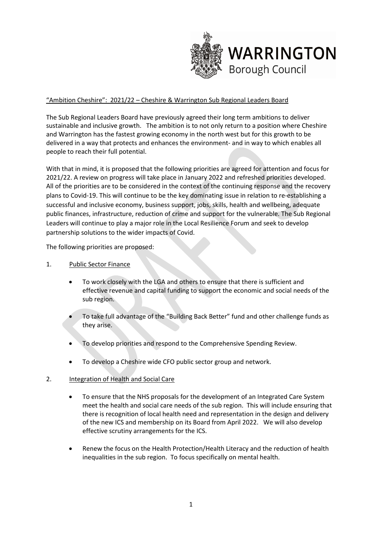

# "Ambition Cheshire": 2021/22 – Cheshire & Warrington Sub Regional Leaders Board

The Sub Regional Leaders Board have previously agreed their long term ambitions to deliver sustainable and inclusive growth. The ambition is to not only return to a position where Cheshire and Warrington has the fastest growing economy in the north west but for this growth to be delivered in a way that protects and enhances the environment- and in way to which enables all people to reach their full potential.

With that in mind, it is proposed that the following priorities are agreed for attention and focus for 2021/22. A review on progress will take place in January 2022 and refreshed priorities developed. All of the priorities are to be considered in the context of the continuing response and the recovery plans to Covid-19. This will continue to be the key dominating issue in relation to re-establishing a successful and inclusive economy, business support, jobs, skills, health and wellbeing, adequate public finances, infrastructure, reduction of crime and support for the vulnerable. The Sub Regional Leaders will continue to play a major role in the Local Resilience Forum and seek to develop partnership solutions to the wider impacts of Covid.

The following priorities are proposed:

#### 1. Public Sector Finance

- To work closely with the LGA and others to ensure that there is sufficient and effective revenue and capital funding to support the economic and social needs of the sub region.
- To take full advantage of the "Building Back Better" fund and other challenge funds as they arise.
- To develop priorities and respond to the Comprehensive Spending Review.
- To develop a Cheshire wide CFO public sector group and network.

### 2. Integration of Health and Social Care

- To ensure that the NHS proposals for the development of an Integrated Care System meet the health and social care needs of the sub region. This will include ensuring that there is recognition of local health need and representation in the design and delivery of the new ICS and membership on its Board from April 2022. We will also develop effective scrutiny arrangements for the ICS.
- Renew the focus on the Health Protection/Health Literacy and the reduction of health inequalities in the sub region. To focus specifically on mental health.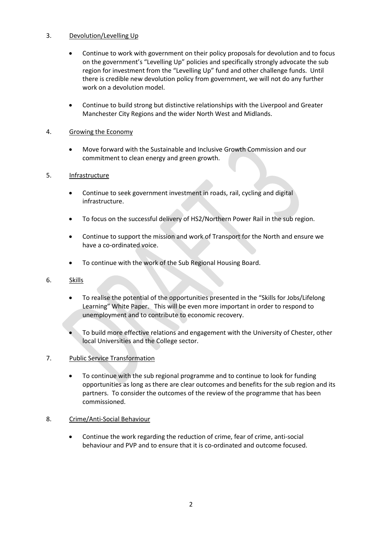## 3. Devolution/Levelling Up

- Continue to work with government on their policy proposals for devolution and to focus on the government's "Levelling Up" policies and specifically strongly advocate the sub region for investment from the "Levelling Up" fund and other challenge funds. Until there is credible new devolution policy from government, we will not do any further work on a devolution model.
- Continue to build strong but distinctive relationships with the Liverpool and Greater Manchester City Regions and the wider North West and Midlands.

# 4. Growing the Economy

• Move forward with the Sustainable and Inclusive Growth Commission and our commitment to clean energy and green growth.

### 5. Infrastructure

- Continue to seek government investment in roads, rail, cycling and digital infrastructure.
- To focus on the successful delivery of HS2/Northern Power Rail in the sub region.
- Continue to support the mission and work of Transport for the North and ensure we have a co-ordinated voice.
- To continue with the work of the Sub Regional Housing Board.
- 6. Skills
	- To realise the potential of the opportunities presented in the "Skills for Jobs/Lifelong Learning" White Paper. This will be even more important in order to respond to unemployment and to contribute to economic recovery.
	- To build more effective relations and engagement with the University of Chester, other local Universities and the College sector.
- 7. Public Service Transformation
	- To continue with the sub regional programme and to continue to look for funding opportunities as long as there are clear outcomes and benefits for the sub region and its partners. To consider the outcomes of the review of the programme that has been commissioned.

### 8. Crime/Anti-Social Behaviour

• Continue the work regarding the reduction of crime, fear of crime, anti-social behaviour and PVP and to ensure that it is co-ordinated and outcome focused.